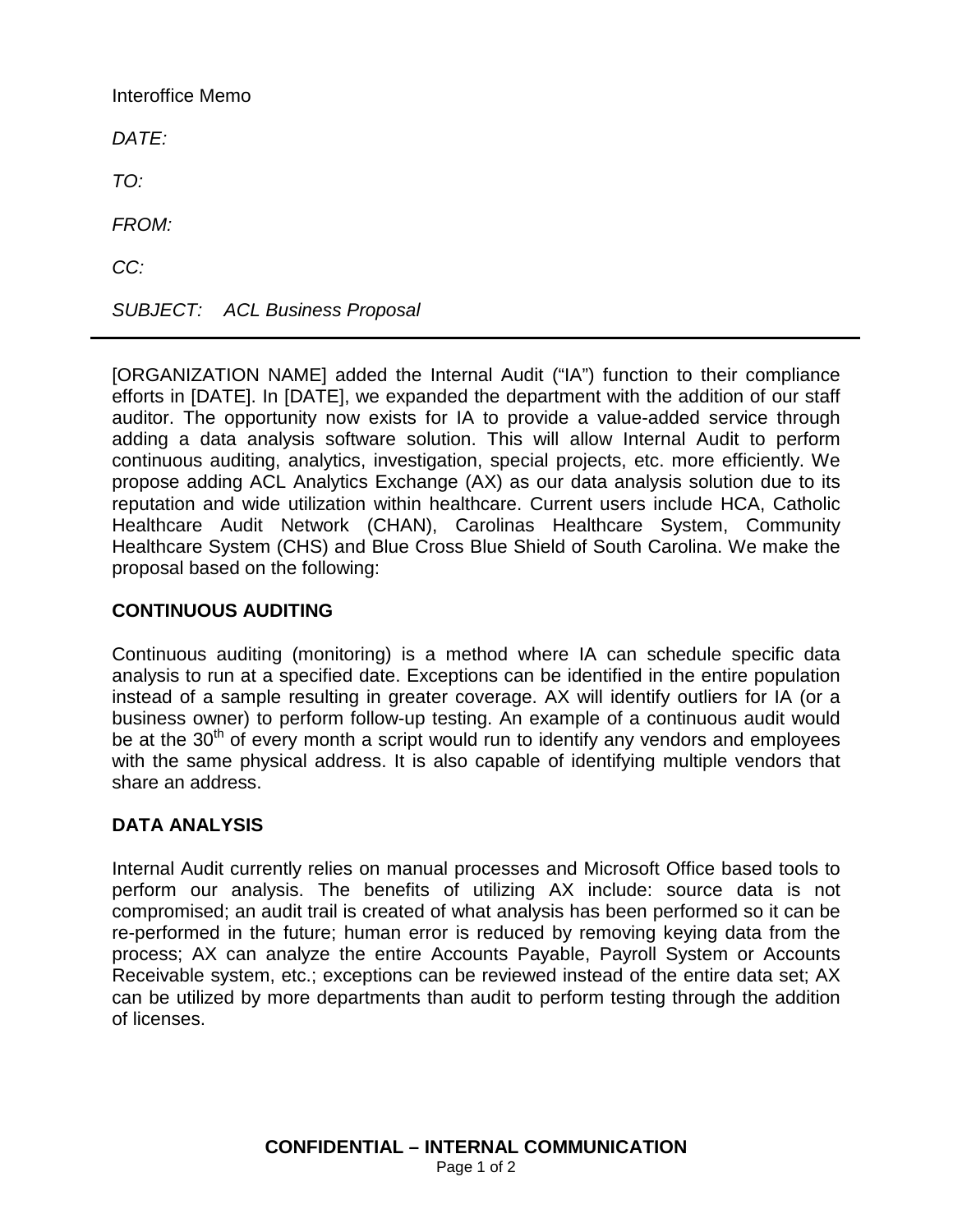Interoffice Memo *DATE: TO: FROM: CC: SUBJECT: ACL Business Proposal*

[ORGANIZATION NAME] added the Internal Audit ("IA") function to their compliance efforts in [DATE]. In [DATE], we expanded the department with the addition of our staff auditor. The opportunity now exists for IA to provide a value-added service through adding a data analysis software solution. This will allow Internal Audit to perform continuous auditing, analytics, investigation, special projects, etc. more efficiently. We propose adding ACL Analytics Exchange (AX) as our data analysis solution due to its reputation and wide utilization within healthcare. Current users include HCA, Catholic Healthcare Audit Network (CHAN), Carolinas Healthcare System, Community Healthcare System (CHS) and Blue Cross Blue Shield of South Carolina. We make the proposal based on the following:

# **CONTINUOUS AUDITING**

Continuous auditing (monitoring) is a method where IA can schedule specific data analysis to run at a specified date. Exceptions can be identified in the entire population instead of a sample resulting in greater coverage. AX will identify outliers for IA (or a business owner) to perform follow-up testing. An example of a continuous audit would be at the 30<sup>th</sup> of every month a script would run to identify any vendors and employees with the same physical address. It is also capable of identifying multiple vendors that share an address.

## **DATA ANALYSIS**

Internal Audit currently relies on manual processes and Microsoft Office based tools to perform our analysis. The benefits of utilizing AX include: source data is not compromised; an audit trail is created of what analysis has been performed so it can be re-performed in the future; human error is reduced by removing keying data from the process; AX can analyze the entire Accounts Payable, Payroll System or Accounts Receivable system, etc.; exceptions can be reviewed instead of the entire data set; AX can be utilized by more departments than audit to perform testing through the addition of licenses.